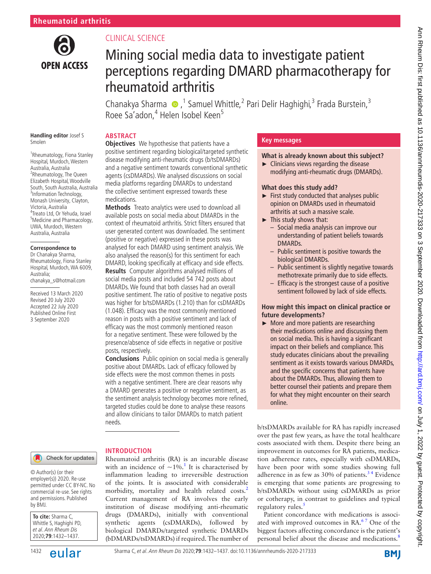

# CLINICAL SCIENCE

# Mining social media data to investigate patient perceptions regarding DMARD pharmacotherapy for rheumatoid arthritis

Chanakya Sharma (ap.<sup>1</sup> Samuel Whittle,<sup>2</sup> Pari Delir Haghighi,<sup>3</sup> Frada Burstein,<sup>3</sup> Roee Sa'adon,<sup>4</sup> Helen Isobel Keen<sup>5</sup>

#### **Handling editor** Josef S **ABSTRACT**

1 Rheumatology, Fiona Stanley Hospital, Murdoch, Western Australia, Australia <sup>2</sup>Rheumatology, The Queen Elizabeth Hospital, Woodville South, South Australia, Australia <sup>3</sup>Information Technology, Monash University, Clayton, Victoria, Australia 4 Treato Ltd, Or Yehuda, Israel 5 Medicine and Pharmacology, UWA, Murdoch, Western Australia, Australia

Smolen

## **Correspondence to**

Dr Chanakya Sharma, Rheumatology, Fiona Stanley Hospital, Murdoch, WA 6009, Australia; chanakya\_s@hotmail.com

Received 13 March 2020 Revised 20 July 2020 Accepted 22 July 2020 Published Online First 3 September 2020

**Objectives** We hypothesise that patients have a positive sentiment regarding biological/targeted synthetic disease modifying anti-rheumatic drugs (b/tsDMARDs) and a negative sentiment towards conventional synthetic agents (csDMARDs). We analysed discussions on social media platforms regarding DMARDs to understand the collective sentiment expressed towards these medications.

**Methods** Treato analytics were used to download all available posts on social media about DMARDs in the context of rheumatoid arthritis. Strict filters ensured that user generated content was downloaded. The sentiment (positive or negative) expressed in these posts was analysed for each DMARD using sentiment analysis. We also analysed the reason(s) for this sentiment for each DMARD, looking specifically at efficacy and side effects. **Results** Computer algorithms analysed millions of social media posts and included 54 742 posts about DMARDs. We found that both classes had an overall positive sentiment. The ratio of positive to negative posts was higher for b/tsDMARDs (1.210) than for csDMARDs (1.048). Efficacy was the most commonly mentioned reason in posts with a positive sentiment and lack of efficacy was the most commonly mentioned reason for a negative sentiment. These were followed by the presence/absence of side effects in negative or positive posts, respectively.

**Conclusions** Public opinion on social media is generally positive about DMARDs. Lack of efficacy followed by side effects were the most common themes in posts with a negative sentiment. There are clear reasons why a DMARD generates a positive or negative sentiment, as the sentiment analysis technology becomes more refined, targeted studies could be done to analyse these reasons and allow clinicians to tailor DMARDs to match patient needs.

# Check for updates

© Author(s) (or their employer(s)) 2020. Re-use permitted under CC BY-NC. No commercial re-use. See rights and permissions. Published by BMJ.

**To cite:** Sharma C, Whittle S, Haghighi PD, et al. Ann Rheum Dis 2020;**79**:1432–1437.



# **INTRODUCTION**

Rheumatoid arthritis (RA) is an incurable disease with an incidence of  $\sim 1\%$  $\sim 1\%$  $\sim 1\%$ .<sup>1</sup> It is characterised by inflammation leading to irreversible destruction of the joints. It is associated with considerable morbidity, mortality and health related costs.<sup>[2](#page-5-1)</sup> Current management of RA involves the early institution of disease modifying anti-rheumatic drugs (DMARDs), initially with conventional synthetic agents (csDMARDs), followed by biological DMARDs/targeted synthetic DMARDs (bDMARDs/tsDMARDs) if required. The number of

# **Key messages**

# **What is already known about this subject?**

 $\blacktriangleright$  Clinicians views regarding the disease modifying anti-rheumatic drugs (DMARDs).

# **What does this study add?**

- ► First study conducted that analyses public opinion on DMARDs used in rheumatoid arthritis at such a massive scale.
- ► This study shows that:
	- Social media analysis can improve our understanding of patient beliefs towards DMARDs.
	- Public sentiment is positive towards the biological DMARDs.
	- Public sentiment is slightly negative towards methotrexate primarily due to side effects.
	- Efficacy is the strongest cause of a positive sentiment followed by lack of side effects.

# **How might this impact on clinical practice or future developments?**

► More and more patients are researching their medications online and discussing them on social media. This is having a significant impact on their beliefs and compliance. This study educates clinicians about the prevailing sentiment as it exists towards various DMARDs, and the specific concerns that patients have about the DMARDs. Thus, allowing them to better counsel their patients and prepare them for what they might encounter on their search online.

b/tsDMARDs available for RA has rapidly increased over the past few years, as have the total healthcare costs associated with them. Despite there being an improvement in outcomes for RA patients, medication adherence rates, especially with csDMARDs, have been poor with some studies showing full adherence in as few as  $30\%$  of patients.<sup>34</sup> Evidence is emerging that some patients are progressing to b/tsDMARDs without using csDMARDs as prior or cotherapy, in contrast to guidelines and typical regulatory rules.<sup>[5](#page-5-3)</sup>

Patient concordance with medications is associated with improved outcomes in  $RA.^{67}$  One of the biggest factors affecting concordance is the patient's personal belief about the disease and medications.<sup>[8](#page-5-5)</sup>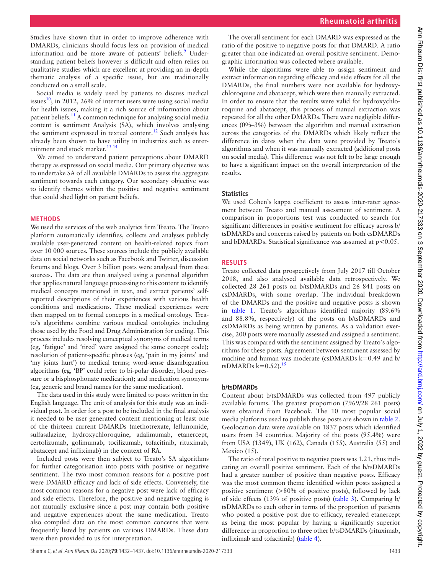Ann Rheum Dis: first published as 10.1136/annheumdis-2020-217333 on 3 September 2020. Downloaded from http://ard.bm/ on July 1, 2022 by guest. Protected by copyright Ann Dis: first published as 10.1136/annrheumdis-2020-217333 on 3 September 2020. Downloaded from <http://ard.bmj.com/> on July 1, 2022 by guest. Protected by copyright.

Studies have shown that in order to improve adherence with DMARDs, clinicians should focus less on provision of medical information and be more aware of patients' beliefs.<sup>[9](#page-5-6)</sup> Understanding patient beliefs however is difficult and often relies on qualitative studies which are excellent at providing an in-depth thematic analysis of a specific issue, but are traditionally conducted on a small scale.

Social media is widely used by patients to discuss medical issues<sup>[10](#page-5-7)</sup>; in 2012, 26% of internet users were using social media for health issues, making it a rich source of information about patient beliefs.<sup>[11](#page-5-8)</sup> A common technique for analysing social media content is sentiment Analysis (SA), which involves analysing the sentiment expressed in textual content.[12](#page-5-9) Such analysis has already been shown to have utility in industries such as entertainment and stock market.<sup>13</sup> <sup>14</sup>

We aimed to understand patient perceptions about DMARD therapy as expressed on social media. Our primary objective was to undertake SA of all available DMARDs to assess the aggregate sentiment towards each category. Our secondary objective was to identify themes within the positive and negative sentiment that could shed light on patient beliefs.

# **METHODS**

We used the services of the web analytics firm Treato. The Treato platform automatically identifies, collects and analyses publicly available user-generated content on health-related topics from over 10 000 sources. These sources include the publicly available data on social networks such as Facebook and Twitter, discussion forums and blogs. Over 3 billion posts were analysed from these sources. The data are then analysed using a patented algorithm that applies natural language processing to this content to identify medical concepts mentioned in text, and extract patients' selfreported descriptions of their experiences with various health conditions and medications. These medical experiences were then mapped on to formal concepts in a medical ontology. Treato's algorithms combine various medical ontologies including those used by the Food and Drug Administration for coding. This process includes resolving conceptual synonyms of medical terms (eg, 'fatigue' and 'tired' were assigned the same concept code); resolution of patient-specific phrases (eg, 'pain in my joints' and 'my joints hurt') to medical terms; word-sense disambiguation algorithms (eg, 'BP' could refer to bi-polar disorder, blood pressure or a bisphosphonate medication); and medication synonyms (eg, generic and brand names for the same medication).

The data used in this study were limited to posts written in the English language. The unit of analysis for this study was an individual post. In order for a post to be included in the final analysis it needed to be user generated content mentioning at least one of the thirteen current DMARDs (methotrexate, leflunomide, sulfasalazine, hydroxychloroquine, adalimumab, etanercept, certolizumab, golimumab, tocilizumab, tofacitinib, rituximab, abatacept and infliximab) in the context of RA.

Included posts were then subject to Treato's SA algorithms for further categorisation into posts with positive or negative sentiment. The two most common reasons for a positive post were DMARD efficacy and lack of side effects. Conversely, the most common reasons for a negative post were lack of efficacy and side effects. Therefore, the positive and negative tagging is not mutually exclusive since a post may contain both positive and negative experiences about the same medication. Treato also compiled data on the most common concerns that were frequently listed by patients on various DMARDs. These data were then provided to us for interpretation.

The overall sentiment for each DMARD was expressed as the ratio of the positive to negative posts for that DMARD. A ratio greater than one indicated an overall positive sentiment. Demographic information was collected where available.

While the algorithms were able to assign sentiment and extract information regarding efficacy and side effects for all the DMARDs, the final numbers were not available for hydroxychloroquine and abatacept, which were then manually extracted. In order to ensure that the results were valid for hydroxychloroquine and abatacept, this process of manual extraction was repeated for all the other DMARDs. There were negligible differences (0%–3%) between the algorithm and manual extraction across the categories of the DMARDs which likely reflect the difference in dates when the data were provided by Treato's algorithms and when it was manually extracted (additional posts on social media). This difference was not felt to be large enough to have a significant impact on the overall interpretation of the results.

# **Statistics**

We used Cohen's kappa coefficient to assess inter-rater agreement between Treato and manual assessment of sentiment. A comparison in proportions test was conducted to search for significant differences in positive sentiment for efficacy across b/ tsDMARDs and concerns raised by patients on both csDMARDs and bDMARDs. Statistical significance was assumed at  $p$  < 0.05.

# **RESULTS**

Treato collected data prospectively from July 2017 till October 2018, and also analysed available data retrospectively. We collected 28 261 posts on b/tsDMARDs and 26 841 posts on csDMARDs, with some overlap. The individual breakdown of the DMARDs and the positive and negative posts is shown in [table](#page-2-0) 1. Treato's algorithms identified majority (89.6% and 88.8%, respectively) of the posts on b/tsDMARDs and csDMARDs as being written by patients. As a validation exercise, 200 posts were manually assessed and assigned a sentiment. This was compared with the sentiment assigned by Treato's algorithms for these posts. Agreement between sentiment assessed by machine and human was moderate (csDMARDs k=0.49 and b/ tsDMARDs  $k=0.52$ ).<sup>[15](#page-5-11)</sup>

# **b/tsDMARDs**

Content about b/tsDMARDs was collected from 497 publicly available forums. The greatest proportion (7969/28 261 posts) were obtained from Facebook. The 10 most popular social media platforms used to publish these posts are shown in [table](#page-2-1) 2. Geolocation data were available on 1837 posts which identified users from 34 countries. Majority of the posts (95.4%) were from USA (1349), UK (162), Canada (155), Australia (55) and Mexico (15).

The ratio of total positive to negative posts was 1.21, thus indicating an overall positive sentiment. Each of the b/tsDMARDs had a greater number of positive than negative posts. Efficacy was the most common theme identified within posts assigned a positive sentiment (>80% of positive posts), followed by lack of side effects (13% of positive posts) [\(table](#page-3-0) 3). Comparing b/ tsDMARDs to each other in terms of the proportion of patients who posted a positive post due to efficacy, revealed etanercept as being the most popular by having a significantly superior difference in proportion to three other b/tsDMARDs (rituximab, infliximab and tofacitinib) [\(table](#page-3-1) 4).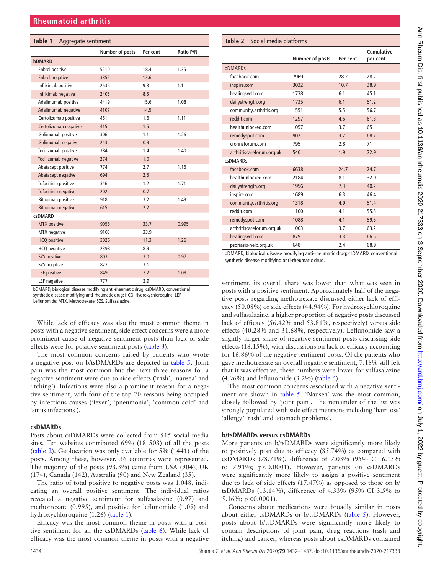<span id="page-2-0"></span>

| Table 1<br>Aggregate sentiment |                 |          |                  |  |  |  |
|--------------------------------|-----------------|----------|------------------|--|--|--|
|                                | Number of posts | Per cent | <b>Ratio P/N</b> |  |  |  |
| <b>bDMARD</b>                  |                 |          |                  |  |  |  |
| <b>Enbrel positive</b>         | 5210            | 18.4     | 1.35             |  |  |  |
| <b>Enbrel negative</b>         | 3852            | 13.6     |                  |  |  |  |
| Infliximab positive            | 2636            | 9.3      | 1.1              |  |  |  |
| Infliximab negative            | 2405            | 8.5      |                  |  |  |  |
| Adalimumab positive            | 4419            | 15.6     | 1.08             |  |  |  |
| Adalimumab negative            | 4107            | 14.5     |                  |  |  |  |
| Certolizumab positive          | 461             | 1.6      | 1.11             |  |  |  |
| Certolizumab negative          | 415             | 1.5      |                  |  |  |  |
| Golimumab positive             | 306             | 1.1      | 1.26             |  |  |  |
| Golimumab negative             | 243             | 0.9      |                  |  |  |  |
| Tocilizumab positive           | 384             | 1.4      | 1.40             |  |  |  |
| Tocilizumab negative           | 274             | 1.0      |                  |  |  |  |
| Abatacept positive             | 774             | 2.7      | 1.16             |  |  |  |
| Abatacept negative             | 694             | 2.5      |                  |  |  |  |
| Tofacitinib positive           | 346             | 1.2      | 1.71             |  |  |  |
| Tofacitinib negative           | 202             | 0.7      |                  |  |  |  |
| Rituximab positive             | 918             | 3.2      | 1.49             |  |  |  |
| Rituximab negative             | 615             | 2.2      |                  |  |  |  |
| <b>csDMARD</b>                 |                 |          |                  |  |  |  |
| <b>MTX</b> positive            | 9058            | 33.7     | 0.995            |  |  |  |
| MTX negative                   | 9103            | 33.9     |                  |  |  |  |
| <b>HCQ positive</b>            | 3026            | 11.3     | 1.26             |  |  |  |
| <b>HCQ</b> negative            | 2398            | 8.9      |                  |  |  |  |
| SZS positive                   | 803             | 3.0      | 0.97             |  |  |  |
| SZS negative                   | 827             | 3.1      |                  |  |  |  |
| LEF positive                   | 849             | 3.2      | 1.09             |  |  |  |
| LEF negative                   | 777             | 2.9      |                  |  |  |  |

bDMARD, biological disease modifying anti-rheumatic drug; csDMARD, conventional synthetic disease modifying anti-rheumatic drug; HCQ, Hydroxychloroquine; LEF, Leflunomide; MTX, Methotrexate; SZS, Sulfasalazine.

While lack of efficacy was also the most common theme in posts with a negative sentiment, side effect concerns were a more prominent cause of negative sentiment posts than lack of side effects were for positive sentiment posts ([table](#page-3-0) 3).

The most common concerns raised by patients who wrote a negative post on b/tsDMARDs are depicted in [table](#page-4-0) 5. Joint pain was the most common but the next three reasons for a negative sentiment were due to side effects ('rash', 'nausea' and 'itching'). Infections were also a prominent reason for a negative sentiment, with four of the top 20 reasons being occupied by infectious causes ('fever', 'pneumonia', 'common cold' and 'sinus infections').

# **csDMARDs**

Posts about csDMARDs were collected from 515 social media sites. Ten websites contributed 69% (18 503) of all the posts ([table](#page-2-1) 2). Geolocation was only available for 5% (1441) of the posts. Among these, however, 36 countries were represented. The majority of the posts (93.3%) came from USA (904), UK (174), Canada (142), Australia (90) and New Zealand (35).

The ratio of total positive to negative posts was 1.048, indicating an overall positive sentiment. The individual ratios revealed a negative sentiment for sulfasalazine (0.97) and methotrexate (0.995), and positive for leflunomide (1.09) and hydroxychloroquine (1.26) [\(table](#page-2-0) 1).

Efficacy was the most common theme in posts with a positive sentiment for all the csDMARDs ([table](#page-4-1) 6). While lack of efficacy was the most common theme in posts with a negative

<span id="page-2-1"></span>

| <b>Table 2</b> Social media platforms |                 |          |            |
|---------------------------------------|-----------------|----------|------------|
|                                       |                 |          | Cumulative |
|                                       | Number of posts | Per cent | per cent   |
| bDMARDs                               |                 |          |            |
| facebook.com                          | 7969            | 28.2     | 28.2       |
| inspire.com                           | 3032            | 10.7     | 38.9       |
| healingwell.com                       | 1738            | 6.1      | 45.1       |
| dailystrength.org                     | 1735            | 6.1      | 51.2       |
| community.arthritis.org               | 1551            | 5.5      | 56.7       |
| reddit.com                            | 1297            | 4.6      | 61.3       |
| healthunlocked.com                    | 1057            | 3.7      | 65         |
| remedyspot.com                        | 902             | 3.2      | 68.2       |
| crohnsforum.com                       | 795             | 2.8      | 71         |
| arthritiscareforum.org.uk             | 540             | 1.9      | 72.9       |
| csDMARDs                              |                 |          |            |
| facebook.com                          | 6638            | 24.7     | 24.7       |
| healthunlocked.com                    | 2184            | 8.1      | 32.9       |
| dailystrength.org                     | 1956            | 7.3      | 40.2       |
| inspire.com                           | 1689<br>6.3     |          | 46.4       |
| community.arthritis.org               | 1318            | 4.9      | 51.4       |
| reddit.com                            | 1100            | 4.1      | 55.5       |
| remedyspot.com                        | 1088            | 4.1      | 59.5       |
| arthritiscareforum.org.uk             | 1003            | 3.7      | 63.2       |
| healingwell.com                       | 879             | 3.3      | 66.5       |
| psoriasis-help.org.uk                 | 648             | 2.4      | 68.9       |

bDMARD, biological disease modifying anti-rheumatic drug; csDMARD, conventional synthetic disease modifying anti-rheumatic drug.

sentiment, its overall share was lower than what was seen in posts with a positive sentiment. Approximately half of the negative posts regarding methotrexate discussed either lack of efficacy (50.08%) or side effects (44.94%). For hydroxychloroquine and sulfasalazine, a higher proportion of negative posts discussed lack of efficacy (56.42% and 53.81%, respectively) versus side effects (40.28% and 31.68%, respectively). Leflunomide saw a slightly larger share of negative sentiment posts discussing side effects (18.15%), with discussions on lack of efficacy accounting for 16.86% of the negative sentiment posts. Of the patients who gave methotrexate an overall negative sentiment, 7.18% still felt that it was effective, these numbers were lower for sulfasalazine (4.96%) and leflunomide (3.2%) [\(table](#page-4-1) 6).

The most common concerns associated with a negative sentiment are shown in [table](#page-4-0) 5. 'Nausea' was the most common, closely followed by 'joint pain'. The remainder of the list was strongly populated with side effect mentions including 'hair loss' 'allergy' 'rash' and 'stomach problems'.

# **b/tsDMARDs versus csDMARDs**

More patients on b/tsDMARDs were significantly more likely to positively post due to efficacy (85.74%) as compared with csDMARDs (78.71%), difference of 7.03% (95% CI 6.15% to 7.91%; p<0.0001). However, patients on csDMARDs were significantly more likely to assign a positive sentiment due to lack of side effects (17.47%) as opposed to those on b/ tsDMARDs (13.14%), difference of 4.33% (95% CI 3.5% to  $5.16\%$ ; p $< 0.0001$ ).

Concerns about medications were broadly similar in posts about either csDMARDs or b/tsDMARDs ([table](#page-4-0) 5). However, posts about b/tsDMARDs were significantly more likely to contain descriptions of joint pain, drug reactions (rash and itching) and cancer, whereas posts about csDMARDs contained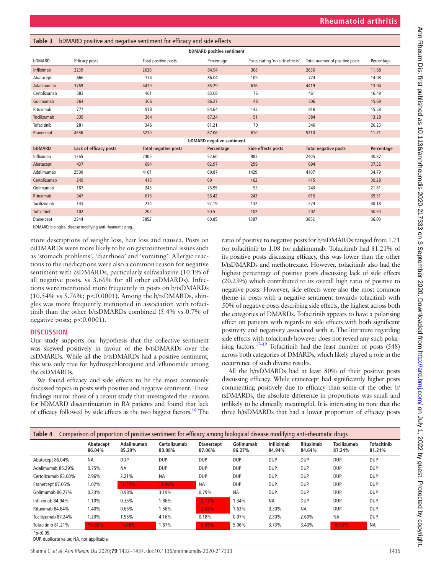|              | $5 - 11$               |                             |                                  |                                 |                                |            |
|--------------|------------------------|-----------------------------|----------------------------------|---------------------------------|--------------------------------|------------|
|              |                        |                             | <b>bDMARD</b> positive sentiment |                                 |                                |            |
| bDMARD       | <b>Efficacy posts</b>  | Total positive posts        | Percentage                       | Posts stating 'no side effects' | Total number of positive posts | Percentage |
| Infliximab   | 2239                   | 2636                        | 84.94                            | 308                             | 2636                           | 11.68      |
| Abatacept    | 666                    | 774                         | 86.04                            | 109                             | 774                            | 14.08      |
| Adalimumab   | 3769                   | 4419                        | 85.29                            | 616                             | 4419                           | 13.94      |
| Certolizumab | 383                    | 461                         | 83.08                            | 76                              | 461                            | 16.49      |
| Golimumab    | 264                    | 306                         | 86.27                            | 48                              | 306                            | 15.69      |
| Rituximab    | 777                    | 918                         | 84.64                            | 143                             | 918                            | 15.58      |
| Tocilizumab  | 335                    | 384                         | 87.24                            | 51                              | 384                            | 13.28      |
| Tofacitinib  | 281                    | 346                         | 81.21                            | 70                              | 346                            | 20.23      |
| Etanercept   | 4536                   | 5210                        | 87.06                            | 610                             | 5210                           | 11.71      |
|              |                        |                             | <b>bDMARD</b> negative sentiment |                                 |                                |            |
| bDMARD       | Lack of efficacy posts | <b>Total negative posts</b> | Percentage                       | Side effects posts              | <b>Total negative posts</b>    | Percentage |
| Infliximab   | 1265                   | 2405                        | 52.60                            | 983                             | 2405                           | 40.87      |
| Abatacept    | 437                    | 694                         | 62.97                            | 259                             | 694                            | 37.32      |
| Adalimumab   | 2500                   | 4107                        | 60.87                            | 1429                            | 4107                           | 34.79      |
| Certolizumab | 249                    | 415                         | 60                               | 163                             | 415                            | 39.28      |
| Golimumab    | 187                    | 243                         | 76.95                            | 53                              | 243                            | 21.81      |
| Rituximab    | 347                    | 615                         | 56.42                            | 243                             | 615                            | 39.51      |
| Tocilizumab  | 143                    | 274                         | 52.19                            | 132                             | 274                            | 48.18      |
| Tofacitinib  | 102                    | 202                         | 50.5                             | 102                             | 202                            | 50.50      |
| Etanercept   | 2344                   | 3852                        | 60.85                            | 1387                            | 3852                           | 36.00      |

bDMARD, biological disease modifying anti-rheumatic drug.

more descriptions of weight loss, hair loss and nausea. Posts on csDMARDs were more likely to be on gastrointestinal issues such as 'stomach problems', 'diarrhoea' and 'vomiting'. Allergic reactions to the medications were also a common reason for negative sentiment with csDMARDs, particularly sulfasalazine (10.1% of all negative posts, vs 3.66% for all other csDMARDs). Infections were mentioned more frequently in posts on b/tsDMARDs (10.54% vs 5.76%; p<0.0001). Among the b/tsDMARDs, shingles was more frequently mentioned in association with tofacitinib than the other b/tsDMARDs combined (5.4% vs 0.7% of negative posts;  $p < 0.0001$ ).

<span id="page-3-0"></span>**Table 3** bDMARD positive and negative sentiment for efficacy and side effects

#### **DISCUSSION**

Our study supports our hypothesis that the collective sentiment was skewed positively in favour of the b/tsDMARDs over the csDMARDs. While all the b/tsDMARDs had a positive sentiment, this was only true for hydroxychloroquine and leflunomide among the csDMARDs.

We found efficacy and side effects to be the most commonly discussed topics in posts with positive and negative sentiment. These findings mirror those of a recent study that investigated the reasons for bDMARD discontinuation in RA patients and found that lack of efficacy followed by side effects as the two biggest factors.<sup>16</sup> The

ratio of positive to negative posts for b/tsDMARDs ranged from 1.71 for tofacitinib to 1.08 for adalimumab. Tofacitinib had 81.21% of its positive posts discussing efficacy, this was lower than the other b/tsDMARDs and methotrexate. However, tofacitinib also had the highest percentage of positive posts discussing lack of side effects (20.23%) which contributed to its overall high ratio of positive to negative posts. However, side effects were also the most common theme in posts with a negative sentiment towards tofacitinib with 50% of negative posts describing side effects, the highest across both the categories of DMARDs. Tofacitinib appears to have a polarising effect on patients with regards to side effects with both significant positivity and negativity associated with it. The literature regarding side effects with tofacitinib however does not reveal any such polar-ising factors.<sup>[17–19](#page-5-13)</sup> Tofacitinib had the least number of posts  $(548)$ across both categories of DMARDs, which likely played a role in the occurrence of such diverse results.

All the b/tsDMARDs had at least 80% of their positive posts discussing efficacy. While etanercept had significantly higher posts commenting positively due to efficacy than some of the other b/ tsDMARDs, the absolute difference in proportions was small and unlikely to be clinically meaningful. It is interesting to note that the three b/tsDMARDs that had a lower proportion of efficacy posts

<span id="page-3-1"></span>

| Comparison of proportion of positive sentiment for efficacy among biological disease modifying anti-rheumatic drugs<br>Table 4 |                     |                      |                        |                             |                     |                      |                     |                              |                              |
|--------------------------------------------------------------------------------------------------------------------------------|---------------------|----------------------|------------------------|-----------------------------|---------------------|----------------------|---------------------|------------------------------|------------------------------|
|                                                                                                                                | Abatacept<br>86.04% | Adalimumab<br>85.29% | Certolizumab<br>83.08% | <b>Etanercept</b><br>87.06% | Golimumab<br>86.27% | Infliximab<br>84.94% | Rituximab<br>84.64% | <b>Tocilizumab</b><br>87.24% | <b>Tofacitinib</b><br>81.21% |
| Abatacept 86.04%                                                                                                               | <b>NA</b>           | <b>DUP</b>           | <b>DUP</b>             | <b>DUP</b>                  | <b>DUP</b>          | <b>DUP</b>           | <b>DUP</b>          | <b>DUP</b>                   | <b>DUP</b>                   |
| Adalimumab 85.29%                                                                                                              | 0.75%               | <b>NA</b>            | <b>DUP</b>             | <b>DUP</b>                  | <b>DUP</b>          | <b>DUP</b>           | <b>DUP</b>          | <b>DUP</b>                   | <b>DUP</b>                   |
| Certolizumab 83.08%                                                                                                            | 2.96%               | 2.21%                | <b>NA</b>              | <b>DUP</b>                  | <b>DUP</b>          | <b>DUP</b>           | <b>DUP</b>          | <b>DUP</b>                   | <b>DUP</b>                   |
| Etanercept 87.06%                                                                                                              | 1.02%               | $1.77\%$             | $3.98\%$               | <b>NA</b>                   | <b>DUP</b>          | <b>DUP</b>           | <b>DUP</b>          | <b>DUP</b>                   | <b>DUP</b>                   |
| Golimumab 86.27%                                                                                                               | 0.23%               | 0.98%                | 3.19%                  | 0.79%                       | <b>NA</b>           | <b>DUP</b>           | <b>DUP</b>          | <b>DUP</b>                   | <b>DUP</b>                   |
| Infliximab 84.94%                                                                                                              | 1.10%               | 0.35%                | 1.86%                  | $12.12\%$                   | 1.34%               | <b>NA</b>            | <b>DUP</b>          | <b>DUP</b>                   | <b>DUP</b>                   |
| Rituximab 84.64%                                                                                                               | 1.40%               | 0.65%                | 1.56%                  | 2.42%                       | 1.63%               | 0.30%                | <b>NA</b>           | <b>DUP</b>                   | <b>DUP</b>                   |
| Tocilizumab 87.24%                                                                                                             | 1.20%               | 1.95%                | 4.16%                  | 0.18%                       | 0.97%               | 2.30%                | 2.60%               | <b>NA</b>                    | <b>DUP</b>                   |
| Tofacitinib 81.21%                                                                                                             | $*4.83\%$           | $14.08\%$            | 1.87%                  | $5.85\%$                    | 5.06%               | 3.73%                | 3.43%               | $^{\circ}6.03\%$             | ΝA                           |
| $*_{p<0.05}$ .                                                                                                                 |                     |                      |                        |                             |                     |                      |                     |                              |                              |

DUP, duplicate value; NA, not applicable.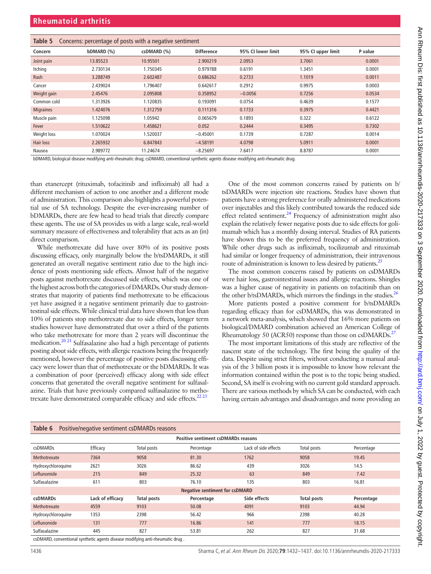<span id="page-4-0"></span>

| Table 5<br>Concerns: percentage of posts with a negative sentiment |            |             |                   |                    |                    |         |  |
|--------------------------------------------------------------------|------------|-------------|-------------------|--------------------|--------------------|---------|--|
| Concern                                                            | bDMARD (%) | csDMARD (%) | <b>Difference</b> | 95% CI lower limit | 95% CI upper limit | P value |  |
| Joint pain                                                         | 13.85523   | 10.95501    | 2.900219          | 2.0953             | 3.7061             | 0.0001  |  |
| Itching                                                            | 2.730134   | 1.750345    | 0.979788          | 0.6191             | 1.3451             | 0.0001  |  |
| Rash                                                               | 3.288749   | 2.602487    | 0.686262          | 0.2733             | 1.1019             | 0.0011  |  |
| Cancer                                                             | 2.439024   | 1.796407    | 0.642617          | 0.2912             | 0.9975             | 0.0003  |  |
| Weight gain                                                        | 2.45476    | 2.095808    | 0.358952          | $-0.0056$          | 0.7256             | 0.0534  |  |
| Common cold                                                        | 1.313926   | 1.120835    | 0.193091          | 0.0754             | 0.4639             | 0.1577  |  |
| <b>Migraines</b>                                                   | 1.424076   | 1.312759    | 0.111316          | 0.1733             | 0.3975             | 0.4421  |  |
| Muscle pain                                                        | 1.125098   | 1.05942     | 0.065679          | 0.1893             | 0.322              | 0.6122  |  |
| Fever                                                              | 1.510622   | 1.458621    | 0.052             | 0.2444             | 0.3495             | 0.7302  |  |
| Weight loss                                                        | 1.070024   | 1.520037    | $-0.45001$        | 0.1739             | 0.7287             | 0.0014  |  |
| <b>Hair loss</b>                                                   | 2.265932   | 6.847843    | $-4.58191$        | 4.0798             | 5.0911             | 0.0001  |  |
| Nausea                                                             | 2.989772   | 11.24674    | $-8.25697$        | 7.6417             | 8.8787             | 0.0001  |  |

bDMARD, biological disease modifying anti-rheumatic drug; csDMARD, conventional synthetic agents disease modifying anti-rheumatic drug.

than etanercept (rituximab, tofacitinib and infliximab) all had a different mechanism of action to one another and a different mode of administration. This comparison also highlights a powerful potential use of SA technology. Despite the ever-increasing number of bDMARDs, there are few head to head trials that directly compare these agents. The use of SA provides us with a large scale, real-world summary measure of effectiveness and tolerability that acts as an (in) direct comparison.

While methotrexate did have over 80% of its positive posts discussing efficacy, only marginally below the b/tsDMARDs, it still generated an overall negative sentiment ratio due to the high incidence of posts mentioning side effects. Almost half of the negative posts against methotrexate discussed side effects, which was one of the highest across both the categories of DMARDs. Our study demonstrates that majority of patients find methotrexate to be efficacious yet have assigned it a negative sentiment primarily due to gastrointestinal side effects. While clinical trial data have shown that less than 10% of patients stop methotrexate due to side effects, longer term studies however have demonstrated that over a third of the patients who take methotrexate for more than 2 years will discontinue the medication.<sup>20 21</sup> Sulfasalazine also had a high percentage of patients posting about side effects, with allergic reactions being the frequently mentioned, however the percentage of positive posts discussing efficacy were lower than that of methotrexate or the bDMARDs. It was a combination of poor (perceived) efficacy along with side effect concerns that generated the overall negative sentiment for sulfasalazine. Trials that have previously compared sulfasalazine to methotrexate have demonstrated comparable efficacy and side effects.<sup>222</sup>

One of the most common concerns raised by patients on b/ tsDMARDs were injection site reactions. Studies have shown that patients have a strong preference for orally administered medications over injectables and this likely contributed towards the reduced side effect related sentiment. $^{24}$  Frequency of administration might also explain the relatively fewer negative posts due to side effects for golimumab which has a monthly dosing interval. Studies of RA patients have shown this to be the preferred frequency of administration. While other drugs such as infliximab, tocilizumab and rituximab had similar or longer frequency of administration, their intravenous route of administration is known to less desired by patients.<sup>25</sup>

The most common concerns raised by patients on csDMARDs were hair loss, gastrointestinal issues and allergic reactions. Shingles was a higher cause of negativity in patients on tofacitinib than on the other b/tsDMARDs, which mirrors the findings in the studies.<sup>26</sup>

More patients posted a positive comment for b/tsDMARDs regarding efficacy than for csDMARDs, this was demonstrated in a network meta-analysis, which showed that 16% more patients on biological/DMARD combination achieved an American College of Rheumatology 50 (ACR50) response than those on csDMARDs.<sup>27</sup>

The most important limitations of this study are reflective of the nascent state of the technology. The first being the quality of the data. Despite using strict filters, without conducting a manual analysis of the 3 billion posts it is impossible to know how relevant the information contained within the post is to the topic being studied. Second, SA itself is evolving with no current gold standard approach. There are various methods by which SA can be conducted, with each having certain advantages and disadvantages and none providing an

<span id="page-4-1"></span>

| Table 6<br>Positive/negative sentiment csDMARDs reasons                       |                  |                    |                                       |                      |                    |            |  |  |
|-------------------------------------------------------------------------------|------------------|--------------------|---------------------------------------|----------------------|--------------------|------------|--|--|
| <b>Positive sentiment csDMARDs reasons</b>                                    |                  |                    |                                       |                      |                    |            |  |  |
| csDMARDs                                                                      | Efficacy         | Total posts        | Percentage                            | Lack of side effects | Total posts        | Percentage |  |  |
| Methotrexate                                                                  | 7364             | 9058               | 81.30                                 | 1762                 | 9058               | 19.45      |  |  |
| Hydroxychloroquine                                                            | 2621             | 3026               | 86.62                                 | 439                  | 3026               | 14.5       |  |  |
| Leflunomide                                                                   | 215              | 849                | 25.32                                 | 63                   | 849                | 7.42       |  |  |
| Sulfasalazine                                                                 | 611              | 803                | 76.10                                 | 135                  | 803                | 16.81      |  |  |
|                                                                               |                  |                    | <b>Negative sentiment for csDMARD</b> |                      |                    |            |  |  |
| <b>csDMARDs</b>                                                               | Lack of efficacy | <b>Total posts</b> | Percentage                            | Side effects         | <b>Total posts</b> | Percentage |  |  |
| Methotrexate                                                                  | 4559             | 9103               | 50.08                                 | 4091                 | 9103               | 44.94      |  |  |
| Hydroxychloroquine                                                            | 1353             | 2398               | 56.42                                 | 966                  | 2398               | 40.28      |  |  |
| Leflunomide                                                                   | 131              | 777                | 16.86                                 | 141                  | 777                | 18.15      |  |  |
| Sulfasalazine                                                                 | 445              | 827                | 53.81                                 | 262                  | 827                | 31.68      |  |  |
| csDMARD, conventional synthetic agents disease modifying anti-rheumatic drug. |                  |                    |                                       |                      |                    |            |  |  |